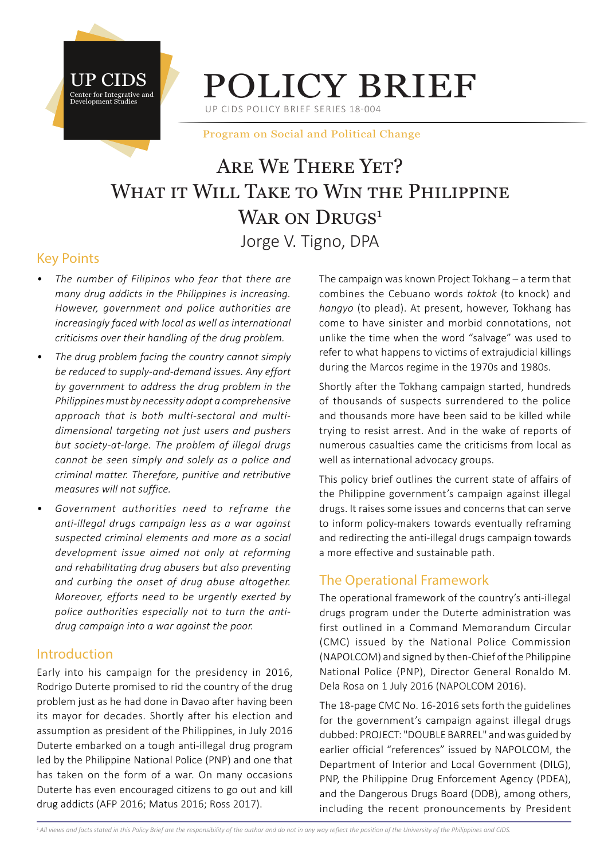



UP CIDS POLICY BRIEF SERIES 18-004

Program on Social and Political Change

# Are We There Yet? WHAT IT WILL TAKE TO WIN THE PHILIPPINE WAR ON DRUGS<sup>1</sup> Jorge V. Tigno, DPA

## Key Points

- *• The number of Filipinos who fear that there are many drug addicts in the Philippines is increasing. However, government and police authorities are increasingly faced with local as well as international criticisms over their handling of the drug problem.*
- *• The drug problem facing the country cannot simply be reduced to supply-and-demand issues. Any effort by government to address the drug problem in the Philippines must by necessity adopt a comprehensive approach that is both multi-sectoral and multidimensional targeting not just users and pushers but society-at-large. The problem of illegal drugs cannot be seen simply and solely as a police and criminal matter. Therefore, punitive and retributive measures will not suffice.*
- *• Government authorities need to reframe the anti-illegal drugs campaign less as a war against suspected criminal elements and more as a social development issue aimed not only at reforming and rehabilitating drug abusers but also preventing and curbing the onset of drug abuse altogether. Moreover, efforts need to be urgently exerted by police authorities especially not to turn the antidrug campaign into a war against the poor.*

#### Introduction

Early into his campaign for the presidency in 2016, Rodrigo Duterte promised to rid the country of the drug problem just as he had done in Davao after having been its mayor for decades. Shortly after his election and assumption as president of the Philippines, in July 2016 Duterte embarked on a tough anti-illegal drug program led by the Philippine National Police (PNP) and one that has taken on the form of a war. On many occasions Duterte has even encouraged citizens to go out and kill drug addicts (AFP 2016; Matus 2016; Ross 2017).

The campaign was known Project Tokhang – a term that combines the Cebuano words *toktok* (to knock) and *hangyo* (to plead). At present, however, Tokhang has come to have sinister and morbid connotations, not unlike the time when the word "salvage" was used to refer to what happens to victims of extrajudicial killings during the Marcos regime in the 1970s and 1980s.

Shortly after the Tokhang campaign started, hundreds of thousands of suspects surrendered to the police and thousands more have been said to be killed while trying to resist arrest. And in the wake of reports of numerous casualties came the criticisms from local as well as international advocacy groups.

This policy brief outlines the current state of affairs of the Philippine government's campaign against illegal drugs. It raises some issues and concerns that can serve to inform policy-makers towards eventually reframing and redirecting the anti-illegal drugs campaign towards a more effective and sustainable path.

## The Operational Framework

The operational framework of the country's anti-illegal drugs program under the Duterte administration was first outlined in a Command Memorandum Circular (CMC) issued by the National Police Commission (NAPOLCOM) and signed by then-Chief of the Philippine National Police (PNP), Director General Ronaldo M. Dela Rosa on 1 July 2016 (NAPOLCOM 2016).

The 18-page CMC No. 16-2016 sets forth the guidelines for the government's campaign against illegal drugs dubbed: PROJECT: "DOUBLE BARREL" and was guided by earlier official "references" issued by NAPOLCOM, the Department of Interior and Local Government (DILG), PNP, the Philippine Drug Enforcement Agency (PDEA), and the Dangerous Drugs Board (DDB), among others, including the recent pronouncements by President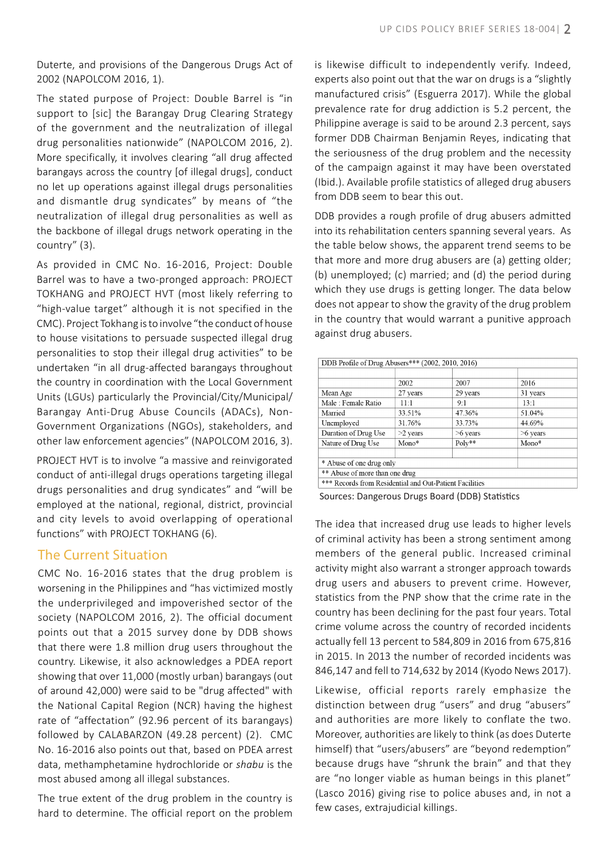Duterte, and provisions of the Dangerous Drugs Act of 2002 (NAPOLCOM 2016, 1).

The stated purpose of Project: Double Barrel is "in support to [sic] the Barangay Drug Clearing Strategy of the government and the neutralization of illegal drug personalities nationwide" (NAPOLCOM 2016, 2). More specifically, it involves clearing "all drug affected barangays across the country [of illegal drugs], conduct no let up operations against illegal drugs personalities and dismantle drug syndicates" by means of "the neutralization of illegal drug personalities as well as the backbone of illegal drugs network operating in the country" (3).

As provided in CMC No. 16-2016, Project: Double Barrel was to have a two-pronged approach: PROJECT TOKHANG and PROJECT HVT (most likely referring to "high-value target" although it is not specified in the CMC). Project Tokhang is to involve "the conduct of house to house visitations to persuade suspected illegal drug personalities to stop their illegal drug activities" to be undertaken "in all drug-affected barangays throughout the country in coordination with the Local Government Units (LGUs) particularly the Provincial/City/Municipal/ Barangay Anti-Drug Abuse Councils (ADACs), Non-Government Organizations (NGOs), stakeholders, and other law enforcement agencies" (NAPOLCOM 2016, 3).

PROJECT HVT is to involve "a massive and reinvigorated conduct of anti-illegal drugs operations targeting illegal drugs personalities and drug syndicates" and "will be employed at the national, regional, district, provincial and city levels to avoid overlapping of operational functions" with PROJECT TOKHANG (6).

#### The Current Situation

CMC No. 16-2016 states that the drug problem is worsening in the Philippines and "has victimized mostly the underprivileged and impoverished sector of the society (NAPOLCOM 2016, 2). The official document points out that a 2015 survey done by DDB shows that there were 1.8 million drug users throughout the country. Likewise, it also acknowledges a PDEA report showing that over 11,000 (mostly urban) barangays (out of around 42,000) were said to be "drug affected" with the National Capital Region (NCR) having the highest rate of "affectation" (92.96 percent of its barangays) followed by CALABARZON (49.28 percent) (2). CMC No. 16-2016 also points out that, based on PDEA arrest data, methamphetamine hydrochloride or *shabu* is the most abused among all illegal substances.

The true extent of the drug problem in the country is hard to determine. The official report on the problem is likewise difficult to independently verify. Indeed, experts also point out that the war on drugs is a "slightly manufactured crisis" (Esguerra 2017). While the global prevalence rate for drug addiction is 5.2 percent, the Philippine average is said to be around 2.3 percent, says former DDB Chairman Benjamin Reyes, indicating that the seriousness of the drug problem and the necessity of the campaign against it may have been overstated (Ibid.). Available profile statistics of alleged drug abusers from DDB seem to bear this out.

DDB provides a rough profile of drug abusers admitted into its rehabilitation centers spanning several years. As the table below shows, the apparent trend seems to be that more and more drug abusers are (a) getting older; (b) unemployed; (c) married; and (d) the period during which they use drugs is getting longer. The data below does not appear to show the gravity of the drug problem in the country that would warrant a punitive approach against drug abusers.

| DDB Profile of Drug Abusers*** (2002, 2010, 2016)       |            |            |            |
|---------------------------------------------------------|------------|------------|------------|
|                                                         |            |            |            |
|                                                         | 2002       | 2007       | 2016       |
| Mean Age                                                | 27 years   | 29 years   | 31 years   |
| Male: Female Ratio                                      | 11:1       | 9:1        | 13:1       |
| Married                                                 | 33.51%     | 47.36%     | 51.04%     |
| Unemployed                                              | 31.76%     | 33.73%     | 44.69%     |
| Duration of Drug Use                                    | $>2$ years | $>6$ years | $>6$ years |
| Nature of Drug Use                                      | Mono*      | Poly**     | Mono*      |
|                                                         |            |            |            |
| * Abuse of one drug only                                |            |            |            |
| ** Abuse of more than one drug                          |            |            |            |
| *** Records from Residential and Out-Patient Facilities |            |            |            |

Sources: Dangerous Drugs Board (DDB) Statistics

The idea that increased drug use leads to higher levels of criminal activity has been a strong sentiment among members of the general public. Increased criminal activity might also warrant a stronger approach towards drug users and abusers to prevent crime. However, statistics from the PNP show that the crime rate in the country has been declining for the past four years. Total crime volume across the country of recorded incidents actually fell 13 percent to 584,809 in 2016 from 675,816 in 2015. In 2013 the number of recorded incidents was 846,147 and fell to 714,632 by 2014 (Kyodo News 2017).

Likewise, official reports rarely emphasize the distinction between drug "users" and drug "abusers" and authorities are more likely to conflate the two. Moreover, authorities are likely to think (as does Duterte himself) that "users/abusers" are "beyond redemption" because drugs have "shrunk the brain" and that they are "no longer viable as human beings in this planet" (Lasco 2016) giving rise to police abuses and, in not a few cases, extrajudicial killings.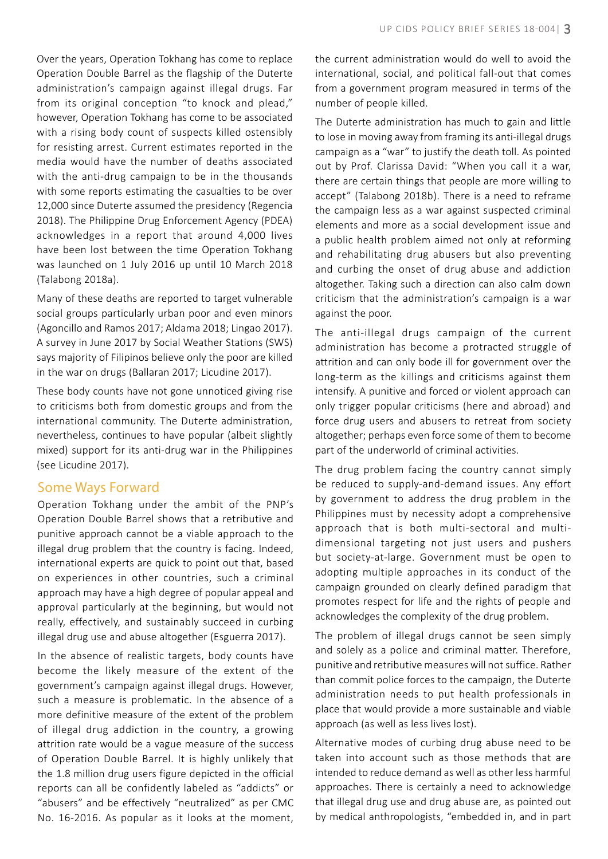Over the years, Operation Tokhang has come to replace Operation Double Barrel as the flagship of the Duterte administration's campaign against illegal drugs. Far from its original conception "to knock and plead," however, Operation Tokhang has come to be associated with a rising body count of suspects killed ostensibly for resisting arrest. Current estimates reported in the media would have the number of deaths associated with the anti-drug campaign to be in the thousands with some reports estimating the casualties to be over 12,000 since Duterte assumed the presidency (Regencia 2018). The Philippine Drug Enforcement Agency (PDEA) acknowledges in a report that around 4,000 lives have been lost between the time Operation Tokhang was launched on 1 July 2016 up until 10 March 2018 (Talabong 2018a).

Many of these deaths are reported to target vulnerable social groups particularly urban poor and even minors (Agoncillo and Ramos 2017; Aldama 2018; Lingao 2017). A survey in June 2017 by Social Weather Stations (SWS) says majority of Filipinos believe only the poor are killed in the war on drugs (Ballaran 2017; Licudine 2017).

These body counts have not gone unnoticed giving rise to criticisms both from domestic groups and from the international community. The Duterte administration, nevertheless, continues to have popular (albeit slightly mixed) support for its anti-drug war in the Philippines (see Licudine 2017).

#### Some Ways Forward

Operation Tokhang under the ambit of the PNP's Operation Double Barrel shows that a retributive and punitive approach cannot be a viable approach to the illegal drug problem that the country is facing. Indeed, international experts are quick to point out that, based on experiences in other countries, such a criminal approach may have a high degree of popular appeal and approval particularly at the beginning, but would not really, effectively, and sustainably succeed in curbing illegal drug use and abuse altogether (Esguerra 2017).

In the absence of realistic targets, body counts have become the likely measure of the extent of the government's campaign against illegal drugs. However, such a measure is problematic. In the absence of a more definitive measure of the extent of the problem of illegal drug addiction in the country, a growing attrition rate would be a vague measure of the success of Operation Double Barrel. It is highly unlikely that the 1.8 million drug users figure depicted in the official reports can all be confidently labeled as "addicts" or "abusers" and be effectively "neutralized" as per CMC No. 16-2016. As popular as it looks at the moment,

the current administration would do well to avoid the international, social, and political fall-out that comes from a government program measured in terms of the number of people killed.

The Duterte administration has much to gain and little to lose in moving away from framing its anti-illegal drugs campaign as a "war" to justify the death toll. As pointed out by Prof. Clarissa David: "When you call it a war, there are certain things that people are more willing to accept" (Talabong 2018b). There is a need to reframe the campaign less as a war against suspected criminal elements and more as a social development issue and a public health problem aimed not only at reforming and rehabilitating drug abusers but also preventing and curbing the onset of drug abuse and addiction altogether. Taking such a direction can also calm down criticism that the administration's campaign is a war against the poor.

The anti-illegal drugs campaign of the current administration has become a protracted struggle of attrition and can only bode ill for government over the long-term as the killings and criticisms against them intensify. A punitive and forced or violent approach can only trigger popular criticisms (here and abroad) and force drug users and abusers to retreat from society altogether; perhaps even force some of them to become part of the underworld of criminal activities.

The drug problem facing the country cannot simply be reduced to supply-and-demand issues. Any effort by government to address the drug problem in the Philippines must by necessity adopt a comprehensive approach that is both multi-sectoral and multidimensional targeting not just users and pushers but society-at-large. Government must be open to adopting multiple approaches in its conduct of the campaign grounded on clearly defined paradigm that promotes respect for life and the rights of people and acknowledges the complexity of the drug problem.

The problem of illegal drugs cannot be seen simply and solely as a police and criminal matter. Therefore, punitive and retributive measures will not suffice. Rather than commit police forces to the campaign, the Duterte administration needs to put health professionals in place that would provide a more sustainable and viable approach (as well as less lives lost).

Alternative modes of curbing drug abuse need to be taken into account such as those methods that are intended to reduce demand as well as other less harmful approaches. There is certainly a need to acknowledge that illegal drug use and drug abuse are, as pointed out by medical anthropologists, "embedded in, and in part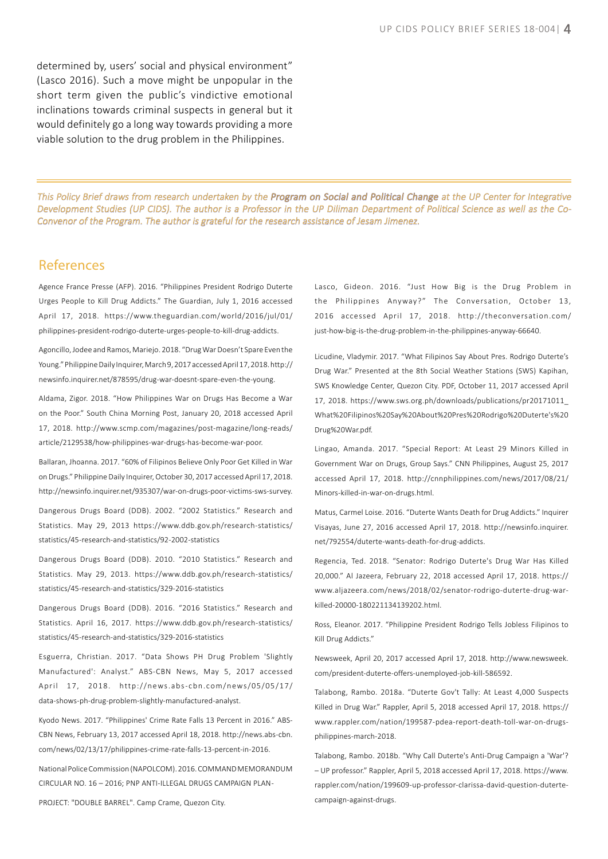determined by, users' social and physical environment" (Lasco 2016). Such a move might be unpopular in the short term given the public's vindictive emotional inclinations towards criminal suspects in general but it would definitely go a long way towards providing a more viable solution to the drug problem in the Philippines.

This Policy Brief draws from research undertaken by the Program on Social and Political Change at the UP Center for Integrative Development Studies (UP CIDS). The author is a Professor in the UP Diliman Department of Political Science as well as the Co-Convenor of the Program. The author is grateful for the research assistance of Jesam Jimenez.

#### References

Agence France Presse (AFP). 2016. "Philippines President Rodrigo Duterte Urges People to Kill Drug Addicts." The Guardian, July 1, 2016 accessed April 17, 2018. https://www.theguardian.com/world/2016/jul/01/ philippines-president-rodrigo-duterte-urges-people-to-kill-drug-addicts.

Agoncillo, Jodee and Ramos, Mariejo. 2018. "Drug War Doesn't Spare Even the Young." Philippine Daily Inquirer, March 9, 2017 accessed April 17, 2018. http:// newsinfo.inquirer.net/878595/drug-war-doesnt-spare-even-the-young.

Aldama, Zigor. 2018. "How Philippines War on Drugs Has Become a War on the Poor." South China Morning Post, January 20, 2018 accessed April 17, 2018. http://www.scmp.com/magazines/post-magazine/long-reads/ article/2129538/how-philippines-war-drugs-has-become-war-poor.

Ballaran, Jhoanna. 2017. "60% of Filipinos Believe Only Poor Get Killed in War on Drugs." Philippine Daily Inquirer, October 30, 2017 accessed April 17, 2018. http://newsinfo.inquirer.net/935307/war-on-drugs-poor-victims-sws-survey.

Dangerous Drugs Board (DDB). 2002. "2002 Statistics." Research and Statistics. May 29, 2013 https://www.ddb.gov.ph/research-statistics/ statistics/45-research-and-statistics/92-2002-statistics

Dangerous Drugs Board (DDB). 2010. "2010 Statistics." Research and Statistics. May 29, 2013. https://www.ddb.gov.ph/research-statistics/ statistics/45-research-and-statistics/329-2016-statistics

Dangerous Drugs Board (DDB). 2016. "2016 Statistics." Research and Statistics. April 16, 2017. https://www.ddb.gov.ph/research-statistics/ statistics/45-research-and-statistics/329-2016-statistics

Esguerra, Christian. 2017. "Data Shows PH Drug Problem 'Slightly Manufactured': Analyst." ABS-CBN News, May 5, 2017 accessed April 17, 2018. http://news.abs-cbn.com/news/05/05/17/ data-shows-ph-drug-problem-slightly-manufactured-analyst.

Kyodo News. 2017. "Philippines' Crime Rate Falls 13 Percent in 2016." ABS-CBN News, February 13, 2017 accessed April 18, 2018. http://news.abs-cbn. com/news/02/13/17/philippines-crime-rate-falls-13-percent-in-2016.

National Police Commission (NAPOLCOM). 2016. COMMAND MEMORANDUM CIRCULAR NO. 16 – 2016; PNP ANTI-ILLEGAL DRUGS CAMPAIGN PLAN -

PROJECT: "DOUBLE BARREL". Camp Crame, Quezon City.

Lasco, Gideon. 2016. "Just How Big is the Drug Problem in the Philippines Anyway? " The Conversation, October 13, 2016 accessed April 17, 2018. http://theconversation.com/ just-how-big-is-the-drug-problem-in-the-philippines-anyway-66640.

Licudine, Vladymir. 2017. "What Filipinos Say About Pres. Rodrigo Duterte's Drug War." Presented at the 8th Social Weather Stations (SWS) Kapihan, SWS Knowledge Center, Quezon City. PDF, October 11, 2017 accessed April 17, 2018. https://www.sws.org.ph/downloads/publications/pr20171011\_ What%20Filipinos%20Say%20About%20Pres%20Rodrigo%20Duterte's%20 Drug%20War.pdf.

Lingao, Amanda. 2017. "Special Report: At Least 29 Minors Killed in Government War on Drugs, Group Says." CNN Philippines, August 25, 2017 accessed April 17, 2018. http://cnnphilippines.com/news/2017/08/21/ Minors-killed-in-war-on-drugs.html.

Matus, Carmel Loise. 2016. "Duterte Wants Death for Drug Addicts." Inquirer Visayas, June 27, 2016 accessed April 17, 2018. http://newsinfo.inquirer. net/792554/duterte-wants-death-for-drug-addicts.

Regencia, Ted. 2018. "Senator: Rodrigo Duterte's Drug War Has Killed 20,000." Al Jazeera, February 22, 2018 accessed April 17, 2018. https:// www.aljazeera.com/news/2018/02/senator-rodrigo-duterte-drug-warkilled-20000-180221134139202.html.

Ross, Eleanor. 2017. "Philippine President Rodrigo Tells Jobless Filipinos to Kill Drug Addicts."

Newsweek, April 20, 2017 accessed April 17, 2018. http://www.newsweek. com/president-duterte-offers-unemployed-job-kill-586592.

Talabong, Rambo. 2018a. "Duterte Gov't Tally: At Least 4,000 Suspects Killed in Drug War." Rappler, April 5, 2018 accessed April 17, 2018. https:// www.rappler.com/nation/199587-pdea-report-death-toll-war-on-drugsphilippines-march-2018.

Talabong, Rambo. 2018b. "Why Call Duterte's Anti-Drug Campaign a 'War'? – UP professor." Rappler, April 5, 2018 accessed April 17, 2018. https://www. rappler.com/nation/199609-up-professor-clarissa-david-question-dutertecampaign-against-drugs.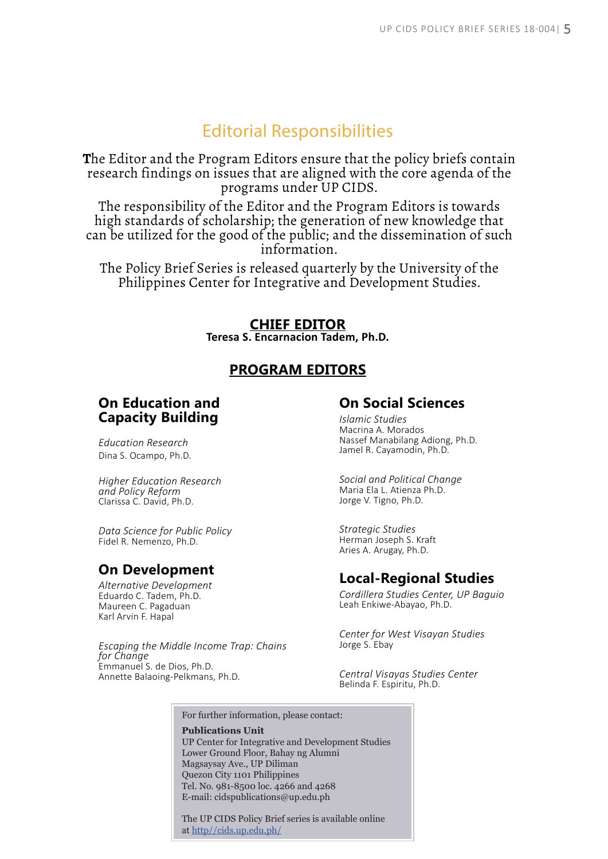# Editorial Responsibilities

**T**he Editor and the Program Editors ensure that the policy briefs contain research findings on issues that are aligned with the core agenda of the programs under UP CIDS.

The responsibility of the Editor and the Program Editors is towards high standards of scholarship; the generation of new knowledge that can be utilized for the good of the public; and the dissemination of such information.

The Policy Brief Series is released quarterly by the University of the Philippines Center for Integrative and Development Studies.

#### **CHIEF EDITOR**

**Teresa S. Encarnacion Tadem, Ph.D.**

#### **PROGRAM EDITORS**

#### **On Education and Capacity Building**

*Education Research*  Dina S. Ocampo, Ph.D.

*Higher Education Research and Policy Reform* Clarissa C. David, Ph.D.

*Data Science for Public Policy* Fidel R. Nemenzo, Ph.D.

#### **On Development**

*Alternative Development* Eduardo C. Tadem, Ph.D. Maureen C. Pagaduan Karl Arvin F. Hapal

*Escaping the Middle Income Trap: Chains for Change* Emmanuel S. de Dios, Ph.D. Annette Balaoing-Pelkmans, Ph.D.

#### **On Social Sciences**

*Islamic Studies* Macrina A. Morados Nassef Manabilang Adiong, Ph.D. Jamel R. Cayamodin, Ph.D.

*Social and Political Change* Maria Ela L. Atienza Ph.D. Jorge V. Tigno, Ph.D.

*Strategic Studies* Herman Joseph S. Kraft Aries A. Arugay, Ph.D.

## **Local-Regional Studies**

*Cordillera Studies Center, UP Baguio* Leah Enkiwe-Abayao, Ph.D.

*Center for West Visayan Studies* Jorge S. Ebay

*Central Visayas Studies Center* Belinda F. Espiritu, Ph.D.

For further information, please contact:

**Publications Unit** UP Center for Integrative and Development Studies Lower Ground Floor, Bahay ng Alumni Magsaysay Ave., UP Diliman Quezon City 1101 Philippines Tel. No. 981-8500 loc. 4266 and 4268 E-mail: cidspublications@up.edu.ph

The UP CIDS Policy Brief series is available online at http//cids.up.edu.ph/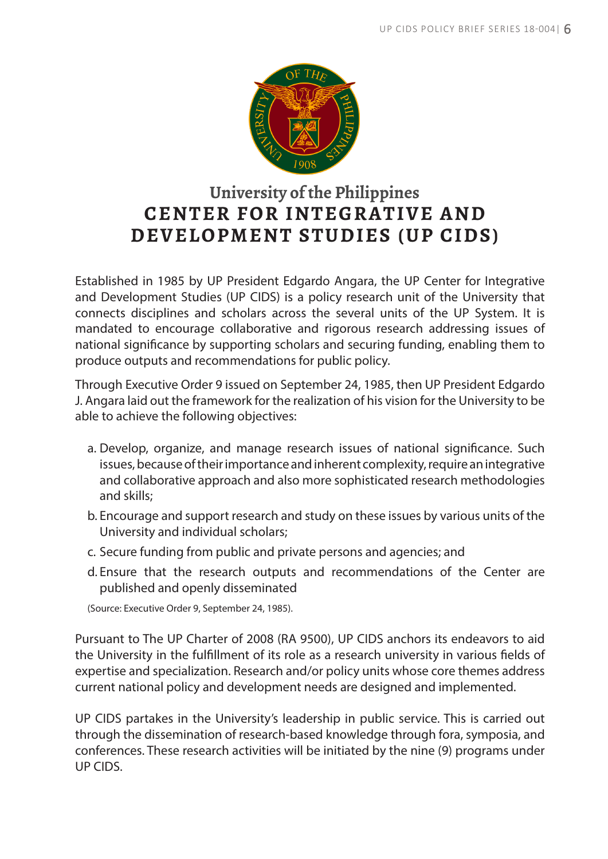

# **University of the Philippines CENTER FOR INTEGRATIVE AND DEVELOPMENT STUDIES (UP CIDS)**

Established in 1985 by UP President Edgardo Angara, the UP Center for Integrative and Development Studies (UP CIDS) is a policy research unit of the University that connects disciplines and scholars across the several units of the UP System. It is mandated to encourage collaborative and rigorous research addressing issues of national significance by supporting scholars and securing funding, enabling them to produce outputs and recommendations for public policy.

Through Executive Order 9 issued on September 24, 1985, then UP President Edgardo J. Angara laid out the framework for the realization of his vision for the University to be able to achieve the following objectives:

- a. Develop, organize, and manage research issues of national significance. Such issues, because of their importance and inherent complexity, require an integrative and collaborative approach and also more sophisticated research methodologies and skills;
- b. Encourage and support research and study on these issues by various units of the University and individual scholars;
- c. Secure funding from public and private persons and agencies; and
- d. Ensure that the research outputs and recommendations of the Center are published and openly disseminated

(Source: Executive Order 9, September 24, 1985).

Pursuant to The UP Charter of 2008 (RA 9500), UP CIDS anchors its endeavors to aid the University in the fulfillment of its role as a research university in various fields of expertise and specialization. Research and/or policy units whose core themes address current national policy and development needs are designed and implemented.

UP CIDS partakes in the University's leadership in public service. This is carried out through the dissemination of research-based knowledge through fora, symposia, and conferences. These research activities will be initiated by the nine (9) programs under UP CIDS.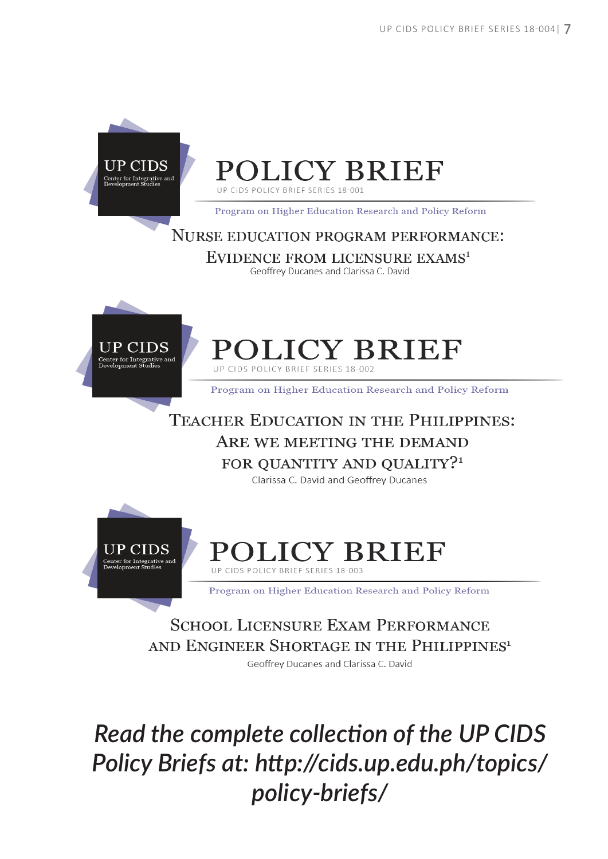

# **POLICY BRIEF**

UP CIDS POLICY BRIEF SERIES 18-001

Program on Higher Education Research and Policy Reform

#### **NURSE EDUCATION PROGRAM PERFORMANCE:**

EVIDENCE FROM LICENSURE EXAMS<sup>1</sup> Geoffrey Ducanes and Clarissa C. David



# POLICY BRIEF UP CIDS POLICY BRIEF SERIES 18-002

Program on Higher Education Research and Policy Reform

# **TEACHER EDUCATION IN THE PHILIPPINES:** ARE WE MEETING THE DEMAND FOR OUANTITY AND OUALITY?<sup>1</sup>

Clarissa C. David and Geoffrey Ducanes



## **Y BRIEF** Y BRIEF SERIES 18-00

Program on Higher Education Research and Policy Reform

# **SCHOOL LICENSURE EXAM PERFORMANCE** AND ENGINEER SHORTAGE IN THE PHILIPPINES<sup>1</sup>

Geoffrey Ducanes and Clarissa C. David

Read the complete collection of the UP CIDS Policy Briefs at: http://cids.up.edu.ph/topics/ policy-briefs/